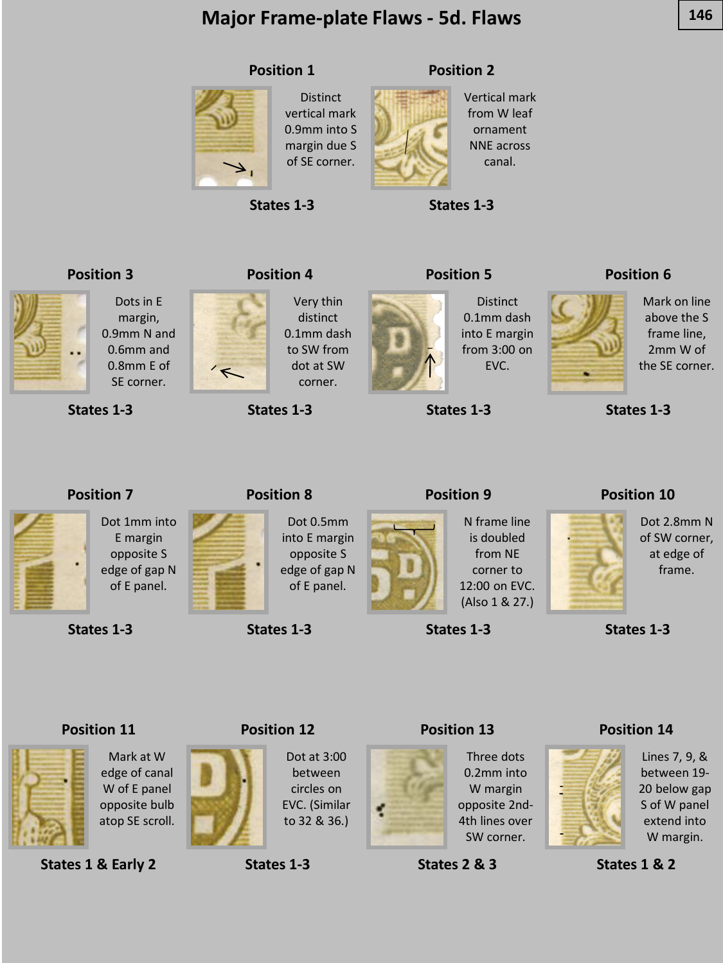# **Major Frame-plate Flaws - 5d. Flaws 146**

**Distinct** vertical mark 0.9mm into S margin due S of SE corner.



**States 1-3**

#### **Position 2**



Vertical mark from W leaf ornament NNE across canal.

**States 1-3**

**Position 5**

**Position 3**



0.6mm and 0.8mm E of SE corner.

Dots in E margin, 0.9mm N and

**States 1-3**



 $\overline{\mathbf{r}}$ 

Very thin distinct 0.1mm dash to SW from dot at SW corner.

**States 1-3**



**Distinct** 0.1mm dash into E margin from 3:00 on EVC.

**States 1-3**

**Position 9**

#### **Position 6**



Mark on line above the S frame line, 2mm W of the SE corner.

**States 1-3**

# **Position 7**



E margin opposite S edge of gap N of E panel.

**States 1-3**



**Position 8**

Dot 0.5mm into E margin opposite S edge of gap N of E panel.

**States 1-3**

**Position 12**



g

N frame line is doubled from NE corner to 12:00 on EVC. (Also 1 & 27.)

**States 1-3**

### **Position 10**



Dot 2.8mm N of SW corner, at edge of frame.

**States 1-3**





**States 1 & Early 2**



circles on EVC. (Similar to 32 & 36.)

**States 1-3**



Three dots 0.2mm into W margin opposite 2nd-4th lines over SW corner.



#### **Position 14**



Lines 7, 9, & between 19- 20 below gap S of W panel extend into W margin.

**States 1 & 2**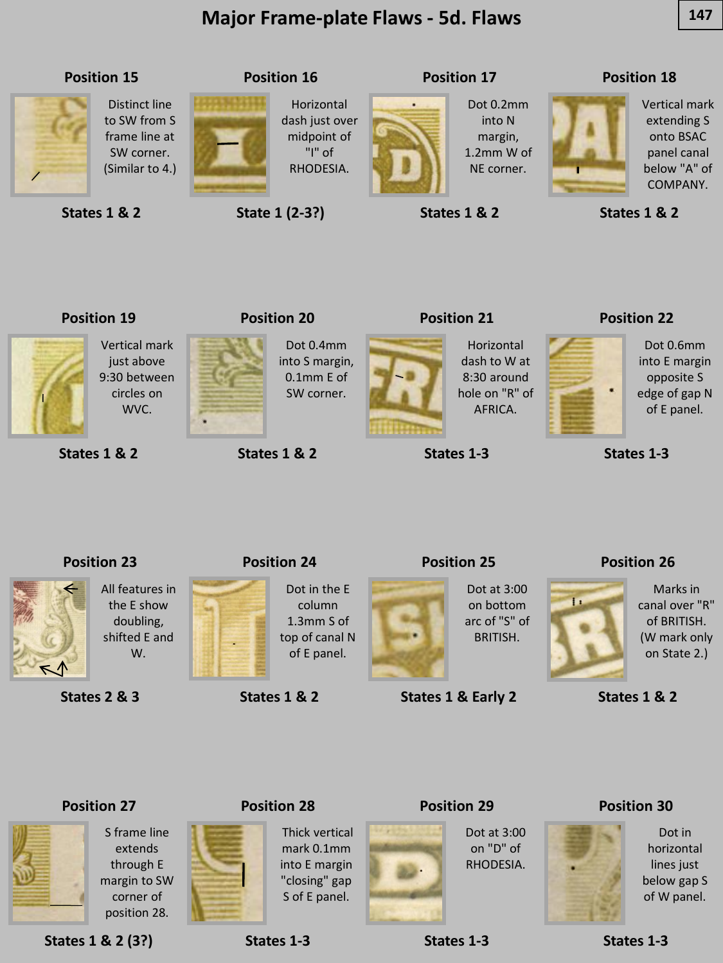# **Major Frame-plate Flaws - 5d. Flaws 147**



**States 1 & 2**

**State 1 (2-3?)**

**States 1 & 2**

**Position 21**

#### **Position 18**

Vertical mark extending S onto BSAC panel canal below "A" of COMPANY.

**States 1 & 2**

# **Position 19**

Vertical mark just above 9:30 between circles on WVC.



**States 1 & 2**



# **Position 20**

Dot 0.4mm into S margin, 0.1mm E of SW corner.

**States 1 & 2**



Horizontal dash to W at 8:30 around hole on "R" of AFRICA.

**States 1-3**

**Position 25**

#### **Position 22**



Dot 0.6mm into E margin opposite S edge of gap N of E panel.

**States 1-3**

# **Position 23**

All features in  $\mathbb{N}$ 

the E show doubling, shifted E and W.

**States 2 & 3**



**Position 24** Dot in the E

column 1.3mm S of top of canal N of E panel.

**States 1 & 2**



Dot at 3:00 on bottom arc of "S" of BRITISH.

**States 1 & Early 2**

# **Position 26**



Marks in canal over "R" of BRITISH. (W mark only on State 2.)

**States 1 & 2**

### **Position 27**



S frame line extends through E margin to SW corner of position 28.

**States 1 & 2 (3?)**



**Position 28**

**States 1-3**

Thick vertical mark 0.1mm into E margin "closing" gap S of E panel.



**Position 29**

Dot at 3:00

#### **Position 30**



Dot in horizontal lines just below gap S of W panel.

on "D" of RHODESIA.

**States 1-3**